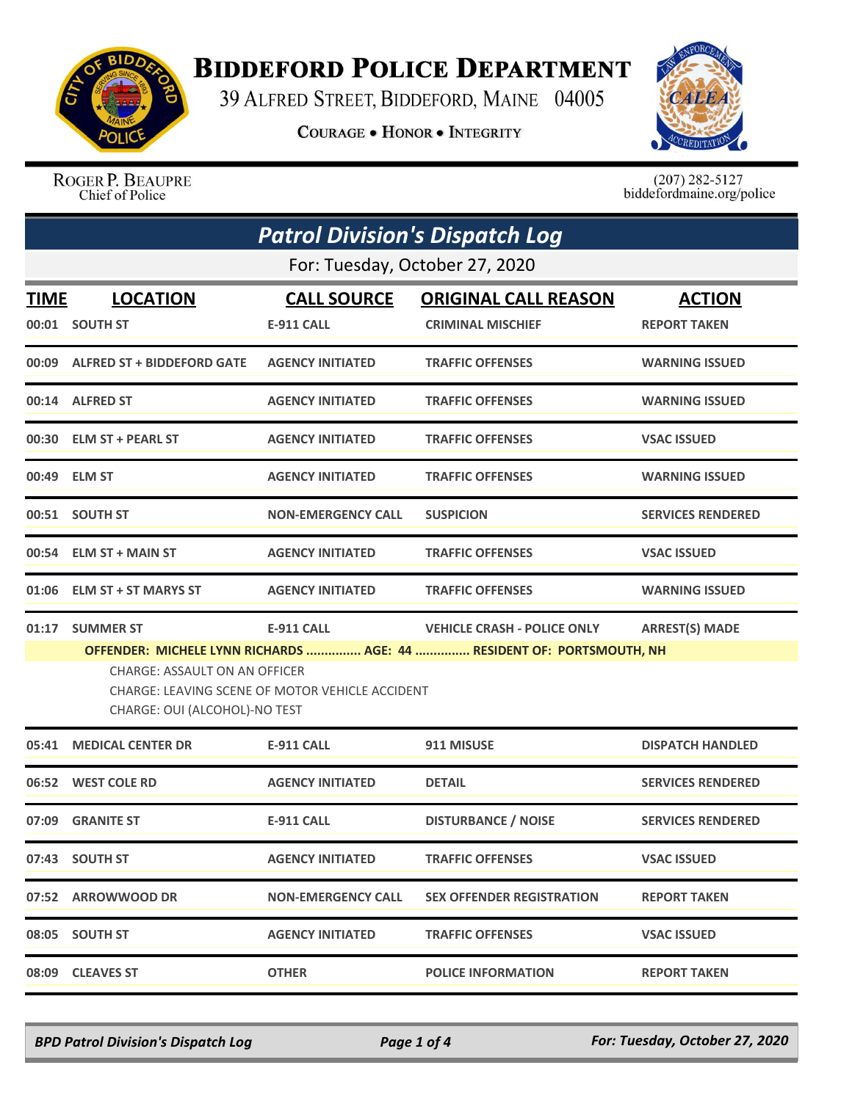

## **BIDDEFORD POLICE DEPARTMENT**

39 ALFRED STREET, BIDDEFORD, MAINE 04005

**COURAGE . HONOR . INTEGRITY** 



ROGER P. BEAUPRE Chief of Police

 $(207)$  282-5127 biddefordmaine.org/police

| <b>Patrol Division's Dispatch Log</b> |                                                                                                                          |                                         |                                                                                                             |                                      |  |  |
|---------------------------------------|--------------------------------------------------------------------------------------------------------------------------|-----------------------------------------|-------------------------------------------------------------------------------------------------------------|--------------------------------------|--|--|
| For: Tuesday, October 27, 2020        |                                                                                                                          |                                         |                                                                                                             |                                      |  |  |
| <u>TIME</u>                           | <b>LOCATION</b><br>00:01 SOUTH ST                                                                                        | <b>CALL SOURCE</b><br><b>E-911 CALL</b> | <b>ORIGINAL CALL REASON</b><br><b>CRIMINAL MISCHIEF</b>                                                     | <b>ACTION</b><br><b>REPORT TAKEN</b> |  |  |
|                                       | 00:09 ALFRED ST + BIDDEFORD GATE                                                                                         | <b>AGENCY INITIATED</b>                 | <b>TRAFFIC OFFENSES</b>                                                                                     | <b>WARNING ISSUED</b>                |  |  |
|                                       | 00:14 ALFRED ST                                                                                                          | <b>AGENCY INITIATED</b>                 | <b>TRAFFIC OFFENSES</b>                                                                                     | <b>WARNING ISSUED</b>                |  |  |
|                                       | 00:30 ELM ST + PEARL ST                                                                                                  | <b>AGENCY INITIATED</b>                 | <b>TRAFFIC OFFENSES</b>                                                                                     | <b>VSAC ISSUED</b>                   |  |  |
|                                       | 00:49 ELM ST                                                                                                             | <b>AGENCY INITIATED</b>                 | <b>TRAFFIC OFFENSES</b>                                                                                     | <b>WARNING ISSUED</b>                |  |  |
|                                       | 00:51 SOUTH ST                                                                                                           | <b>NON-EMERGENCY CALL</b>               | <b>SUSPICION</b>                                                                                            | <b>SERVICES RENDERED</b>             |  |  |
|                                       | 00:54 ELM ST + MAIN ST                                                                                                   | <b>AGENCY INITIATED</b>                 | <b>TRAFFIC OFFENSES</b>                                                                                     | <b>VSAC ISSUED</b>                   |  |  |
|                                       | 01:06 ELM ST + ST MARYS ST                                                                                               | <b>AGENCY INITIATED</b>                 | <b>TRAFFIC OFFENSES</b>                                                                                     | <b>WARNING ISSUED</b>                |  |  |
| 01:17                                 | <b>SUMMER ST</b>                                                                                                         | <b>E-911 CALL</b>                       | <b>VEHICLE CRASH - POLICE ONLY</b><br>OFFENDER: MICHELE LYNN RICHARDS  AGE: 44  RESIDENT OF: PORTSMOUTH, NH | <b>ARREST(S) MADE</b>                |  |  |
|                                       | <b>CHARGE: ASSAULT ON AN OFFICER</b><br>CHARGE: LEAVING SCENE OF MOTOR VEHICLE ACCIDENT<br>CHARGE: OUI (ALCOHOL)-NO TEST |                                         |                                                                                                             |                                      |  |  |
| 05:41                                 | <b>MEDICAL CENTER DR</b>                                                                                                 | E-911 CALL                              | 911 MISUSE                                                                                                  | <b>DISPATCH HANDLED</b>              |  |  |
|                                       | 06:52 WEST COLE RD                                                                                                       | <b>AGENCY INITIATED</b>                 | <b>DETAIL</b>                                                                                               | <b>SERVICES RENDERED</b>             |  |  |
|                                       | 07:09 GRANITE ST                                                                                                         | <b>E-911 CALL</b>                       | <b>DISTURBANCE / NOISE</b>                                                                                  | <b>SERVICES RENDERED</b>             |  |  |
|                                       | 07:43 SOUTH ST                                                                                                           | <b>AGENCY INITIATED</b>                 | <b>TRAFFIC OFFENSES</b>                                                                                     | <b>VSAC ISSUED</b>                   |  |  |
|                                       | 07:52 ARROWWOOD DR                                                                                                       | <b>NON-EMERGENCY CALL</b>               | <b>SEX OFFENDER REGISTRATION</b>                                                                            | <b>REPORT TAKEN</b>                  |  |  |
|                                       | 08:05 SOUTH ST                                                                                                           | <b>AGENCY INITIATED</b>                 | <b>TRAFFIC OFFENSES</b>                                                                                     | <b>VSAC ISSUED</b>                   |  |  |
|                                       | 08:09 CLEAVES ST                                                                                                         | <b>OTHER</b>                            | <b>POLICE INFORMATION</b>                                                                                   | <b>REPORT TAKEN</b>                  |  |  |

*BPD Patrol Division's Dispatch Log Page 1 of 4 For: Tuesday, October 27, 2020*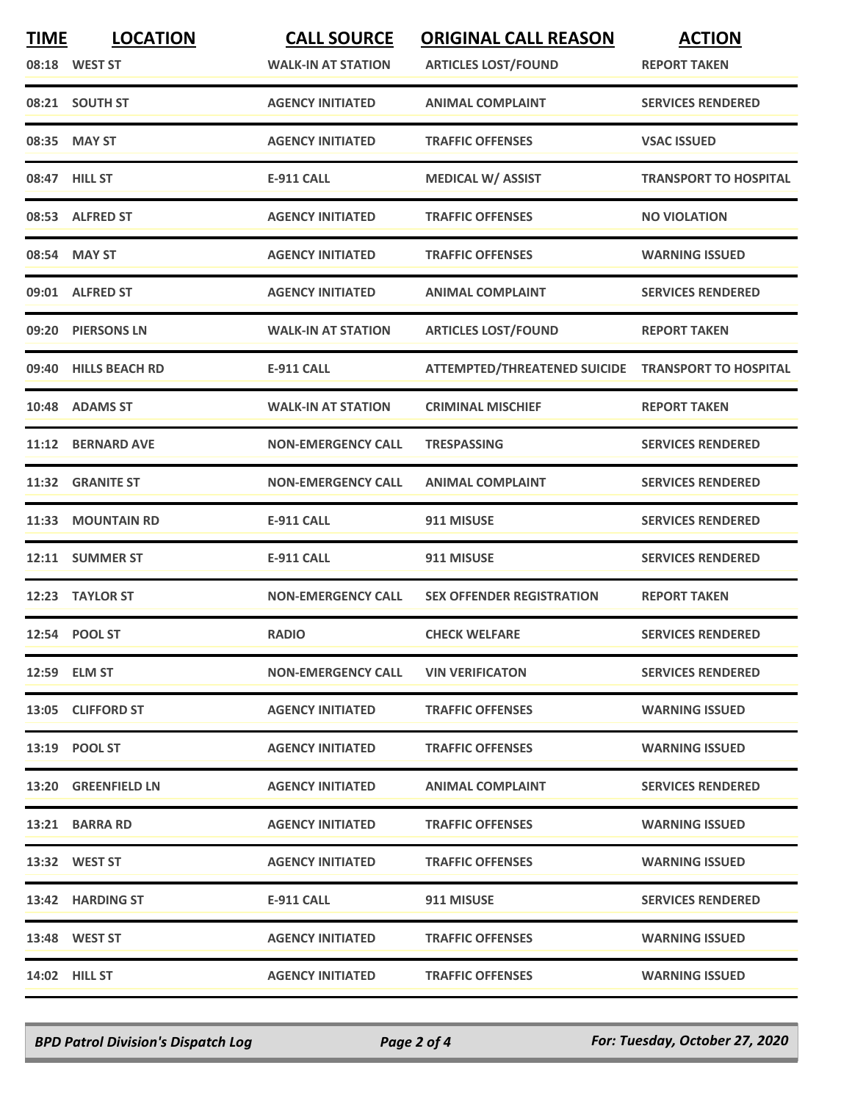| <b>TIME</b> | <b>LOCATION</b>       | <b>CALL SOURCE</b>        | <b>ORIGINAL CALL REASON</b>         | <b>ACTION</b>                |
|-------------|-----------------------|---------------------------|-------------------------------------|------------------------------|
|             | 08:18 WEST ST         | <b>WALK-IN AT STATION</b> | <b>ARTICLES LOST/FOUND</b>          | <b>REPORT TAKEN</b>          |
|             | 08:21 SOUTH ST        | <b>AGENCY INITIATED</b>   | <b>ANIMAL COMPLAINT</b>             | <b>SERVICES RENDERED</b>     |
|             | 08:35 MAY ST          | <b>AGENCY INITIATED</b>   | <b>TRAFFIC OFFENSES</b>             | <b>VSAC ISSUED</b>           |
|             | 08:47 HILL ST         | <b>E-911 CALL</b>         | <b>MEDICAL W/ ASSIST</b>            | <b>TRANSPORT TO HOSPITAL</b> |
|             | 08:53 ALFRED ST       | <b>AGENCY INITIATED</b>   | <b>TRAFFIC OFFENSES</b>             | <b>NO VIOLATION</b>          |
|             | 08:54 MAY ST          | <b>AGENCY INITIATED</b>   | <b>TRAFFIC OFFENSES</b>             | <b>WARNING ISSUED</b>        |
| 09:01       | <b>ALFRED ST</b>      | <b>AGENCY INITIATED</b>   | <b>ANIMAL COMPLAINT</b>             | <b>SERVICES RENDERED</b>     |
|             | 09:20 PIERSONS LN     | <b>WALK-IN AT STATION</b> | <b>ARTICLES LOST/FOUND</b>          | <b>REPORT TAKEN</b>          |
| 09:40       | <b>HILLS BEACH RD</b> | <b>E-911 CALL</b>         | <b>ATTEMPTED/THREATENED SUICIDE</b> | <b>TRANSPORT TO HOSPITAL</b> |
|             | 10:48 ADAMS ST        | <b>WALK-IN AT STATION</b> | <b>CRIMINAL MISCHIEF</b>            | <b>REPORT TAKEN</b>          |
| 11:12       | <b>BERNARD AVE</b>    | <b>NON-EMERGENCY CALL</b> | <b>TRESPASSING</b>                  | <b>SERVICES RENDERED</b>     |
|             | 11:32 GRANITE ST      | <b>NON-EMERGENCY CALL</b> | <b>ANIMAL COMPLAINT</b>             | <b>SERVICES RENDERED</b>     |
| 11:33       | <b>MOUNTAIN RD</b>    | <b>E-911 CALL</b>         | 911 MISUSE                          | <b>SERVICES RENDERED</b>     |
|             | 12:11 SUMMER ST       | <b>E-911 CALL</b>         | 911 MISUSE                          | <b>SERVICES RENDERED</b>     |
| 12:23       | <b>TAYLOR ST</b>      | <b>NON-EMERGENCY CALL</b> | <b>SEX OFFENDER REGISTRATION</b>    | <b>REPORT TAKEN</b>          |
|             | 12:54 POOL ST         | <b>RADIO</b>              | <b>CHECK WELFARE</b>                | <b>SERVICES RENDERED</b>     |
|             | 12:59 ELM ST          | <b>NON-EMERGENCY CALL</b> | <b>VIN VERIFICATON</b>              | <b>SERVICES RENDERED</b>     |
|             | 13:05 CLIFFORD ST     | <b>AGENCY INITIATED</b>   | <b>TRAFFIC OFFENSES</b>             | <b>WARNING ISSUED</b>        |
|             | 13:19 POOL ST         | <b>AGENCY INITIATED</b>   | <b>TRAFFIC OFFENSES</b>             | <b>WARNING ISSUED</b>        |
|             | 13:20 GREENFIELD LN   | <b>AGENCY INITIATED</b>   | <b>ANIMAL COMPLAINT</b>             | <b>SERVICES RENDERED</b>     |
|             | 13:21 BARRA RD        | <b>AGENCY INITIATED</b>   | <b>TRAFFIC OFFENSES</b>             | <b>WARNING ISSUED</b>        |
|             | 13:32 WEST ST         | <b>AGENCY INITIATED</b>   | <b>TRAFFIC OFFENSES</b>             | <b>WARNING ISSUED</b>        |
|             | 13:42 HARDING ST      | E-911 CALL                | 911 MISUSE                          | <b>SERVICES RENDERED</b>     |
|             | 13:48 WEST ST         | <b>AGENCY INITIATED</b>   | <b>TRAFFIC OFFENSES</b>             | <b>WARNING ISSUED</b>        |
|             | <b>14:02 HILL ST</b>  | <b>AGENCY INITIATED</b>   | <b>TRAFFIC OFFENSES</b>             | <b>WARNING ISSUED</b>        |

*BPD Patrol Division's Dispatch Log Page 2 of 4 For: Tuesday, October 27, 2020*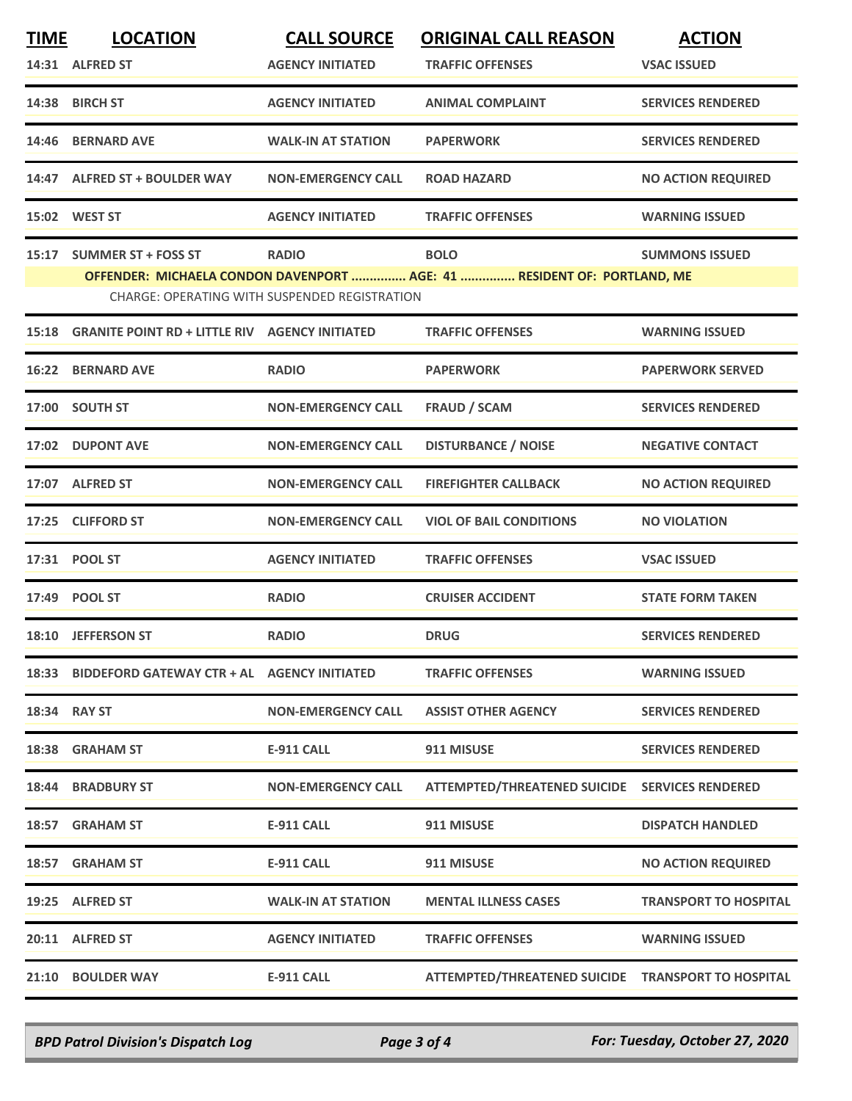| <b>TIME</b>  | <b>LOCATION</b>                                       | <b>CALL SOURCE</b>                            | <b>ORIGINAL CALL REASON</b>                                             | <b>ACTION</b>                |
|--------------|-------------------------------------------------------|-----------------------------------------------|-------------------------------------------------------------------------|------------------------------|
|              | 14:31 ALFRED ST                                       | <b>AGENCY INITIATED</b>                       | <b>TRAFFIC OFFENSES</b>                                                 | <b>VSAC ISSUED</b>           |
|              | 14:38 BIRCH ST                                        | <b>AGENCY INITIATED</b>                       | <b>ANIMAL COMPLAINT</b>                                                 | <b>SERVICES RENDERED</b>     |
| 14:46        | <b>BERNARD AVE</b>                                    | <b>WALK-IN AT STATION</b>                     | <b>PAPERWORK</b>                                                        | <b>SERVICES RENDERED</b>     |
| 14:47        | <b>ALFRED ST + BOULDER WAY</b>                        | <b>NON-EMERGENCY CALL</b>                     | <b>ROAD HAZARD</b>                                                      | <b>NO ACTION REQUIRED</b>    |
|              | 15:02 WEST ST                                         | <b>AGENCY INITIATED</b>                       | <b>TRAFFIC OFFENSES</b>                                                 | <b>WARNING ISSUED</b>        |
| 15:17        | <b>SUMMER ST + FOSS ST</b>                            | <b>RADIO</b>                                  | <b>BOLO</b>                                                             | <b>SUMMONS ISSUED</b>        |
|              |                                                       | CHARGE: OPERATING WITH SUSPENDED REGISTRATION | OFFENDER: MICHAELA CONDON DAVENPORT  AGE: 41  RESIDENT OF: PORTLAND, ME |                              |
| 15:18        | <b>GRANITE POINT RD + LITTLE RIV AGENCY INITIATED</b> |                                               | <b>TRAFFIC OFFENSES</b>                                                 | <b>WARNING ISSUED</b>        |
| 16:22        | <b>BERNARD AVE</b>                                    | <b>RADIO</b>                                  | <b>PAPERWORK</b>                                                        | <b>PAPERWORK SERVED</b>      |
|              | 17:00 SOUTH ST                                        | <b>NON-EMERGENCY CALL</b>                     | <b>FRAUD / SCAM</b>                                                     | <b>SERVICES RENDERED</b>     |
| 17:02        | <b>DUPONT AVE</b>                                     | <b>NON-EMERGENCY CALL</b>                     | <b>DISTURBANCE / NOISE</b>                                              | <b>NEGATIVE CONTACT</b>      |
|              | 17:07 ALFRED ST                                       | <b>NON-EMERGENCY CALL</b>                     | <b>FIREFIGHTER CALLBACK</b>                                             | <b>NO ACTION REQUIRED</b>    |
|              | 17:25 CLIFFORD ST                                     | <b>NON-EMERGENCY CALL</b>                     | <b>VIOL OF BAIL CONDITIONS</b>                                          | <b>NO VIOLATION</b>          |
|              | 17:31 POOL ST                                         | <b>AGENCY INITIATED</b>                       | <b>TRAFFIC OFFENSES</b>                                                 | <b>VSAC ISSUED</b>           |
|              | 17:49 POOL ST                                         | <b>RADIO</b>                                  | <b>CRUISER ACCIDENT</b>                                                 | <b>STATE FORM TAKEN</b>      |
|              | 18:10 JEFFERSON ST                                    | <b>RADIO</b>                                  | <b>DRUG</b>                                                             | <b>SERVICES RENDERED</b>     |
|              | 18:33 BIDDEFORD GATEWAY CTR + AL AGENCY INITIATED     |                                               | <b>TRAFFIC OFFENSES</b>                                                 | <b>WARNING ISSUED</b>        |
| 18:34 RAY ST |                                                       | <b>NON-EMERGENCY CALL</b>                     | <b>ASSIST OTHER AGENCY</b>                                              | <b>SERVICES RENDERED</b>     |
|              | 18:38 GRAHAM ST                                       | E-911 CALL                                    | 911 MISUSE                                                              | <b>SERVICES RENDERED</b>     |
|              | <b>18:44 BRADBURY ST</b>                              | <b>NON-EMERGENCY CALL</b>                     | ATTEMPTED/THREATENED SUICIDE SERVICES RENDERED                          |                              |
|              | 18:57 GRAHAM ST                                       | <b>E-911 CALL</b>                             | 911 MISUSE                                                              | <b>DISPATCH HANDLED</b>      |
|              | 18:57 GRAHAM ST                                       | <b>E-911 CALL</b>                             | 911 MISUSE                                                              | <b>NO ACTION REQUIRED</b>    |
|              | 19:25 ALFRED ST                                       | <b>WALK-IN AT STATION</b>                     | <b>MENTAL ILLNESS CASES</b>                                             | <b>TRANSPORT TO HOSPITAL</b> |
|              | 20:11 ALFRED ST                                       | <b>AGENCY INITIATED</b>                       | <b>TRAFFIC OFFENSES</b>                                                 | <b>WARNING ISSUED</b>        |
|              | 21:10 BOULDER WAY                                     | <b>E-911 CALL</b>                             | ATTEMPTED/THREATENED SUICIDE TRANSPORT TO HOSPITAL                      |                              |

*BPD Patrol Division's Dispatch Log Page 3 of 4 For: Tuesday, October 27, 2020*